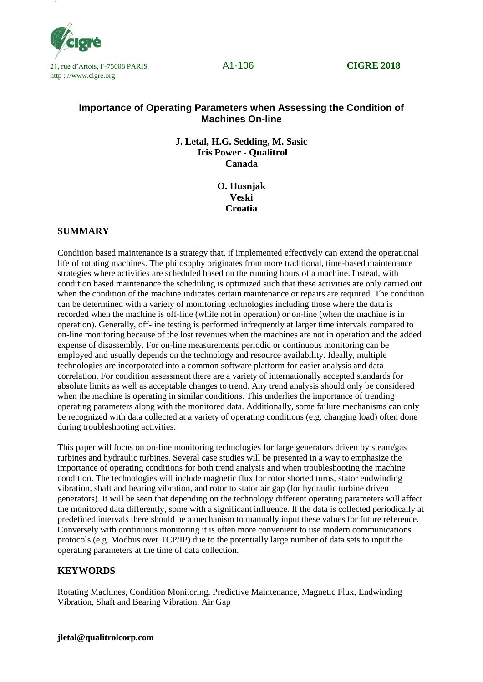



# **Importance of Operating Parameters when Assessing the Condition of Machines On-line**

**J. Letal, H.G. Sedding, M. Sasic Iris Power - Qualitrol Canada**

> **O. Husnjak Veski Croatia**

## **SUMMARY**

Condition based maintenance is a strategy that, if implemented effectively can extend the operational life of rotating machines. The philosophy originates from more traditional, time-based maintenance strategies where activities are scheduled based on the running hours of a machine. Instead, with condition based maintenance the scheduling is optimized such that these activities are only carried out when the condition of the machine indicates certain maintenance or repairs are required. The condition can be determined with a variety of monitoring technologies including those where the data is recorded when the machine is off-line (while not in operation) or on-line (when the machine is in operation). Generally, off-line testing is performed infrequently at larger time intervals compared to on-line monitoring because of the lost revenues when the machines are not in operation and the added expense of disassembly. For on-line measurements periodic or continuous monitoring can be employed and usually depends on the technology and resource availability. Ideally, multiple technologies are incorporated into a common software platform for easier analysis and data correlation. For condition assessment there are a variety of internationally accepted standards for absolute limits as well as acceptable changes to trend. Any trend analysis should only be considered when the machine is operating in similar conditions. This underlies the importance of trending operating parameters along with the monitored data. Additionally, some failure mechanisms can only be recognized with data collected at a variety of operating conditions (e.g. changing load) often done during troubleshooting activities.

This paper will focus on on-line monitoring technologies for large generators driven by steam/gas turbines and hydraulic turbines. Several case studies will be presented in a way to emphasize the importance of operating conditions for both trend analysis and when troubleshooting the machine condition. The technologies will include magnetic flux for rotor shorted turns, stator endwinding vibration, shaft and bearing vibration, and rotor to stator air gap (for hydraulic turbine driven generators). It will be seen that depending on the technology different operating parameters will affect the monitored data differently, some with a significant influence. If the data is collected periodically at predefined intervals there should be a mechanism to manually input these values for future reference. Conversely with continuous monitoring it is often more convenient to use modern communications protocols (e.g. Modbus over TCP/IP) due to the potentially large number of data sets to input the operating parameters at the time of data collection.

### **KEYWORDS**

Rotating Machines, Condition Monitoring, Predictive Maintenance, Magnetic Flux, Endwinding Vibration, Shaft and Bearing Vibration, Air Gap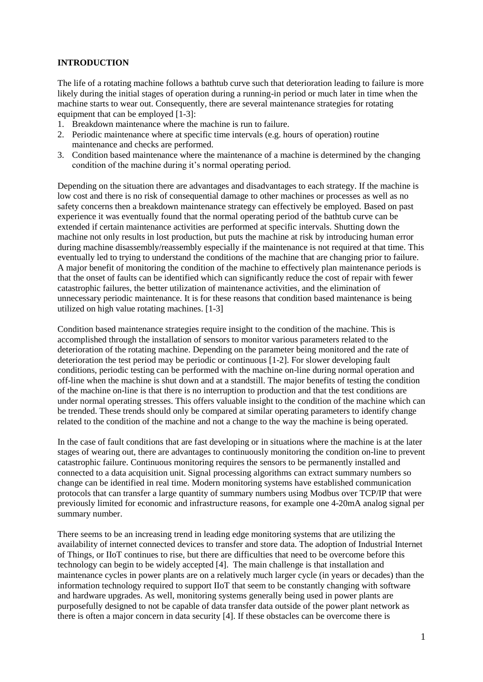### **INTRODUCTION**

The life of a rotating machine follows a bathtub curve such that deterioration leading to failure is more likely during the initial stages of operation during a running-in period or much later in time when the machine starts to wear out. Consequently, there are several maintenance strategies for rotating equipment that can be employed [1-3]:

- 1. Breakdown maintenance where the machine is run to failure.
- 2. Periodic maintenance where at specific time intervals (e.g. hours of operation) routine maintenance and checks are performed.
- 3. Condition based maintenance where the maintenance of a machine is determined by the changing condition of the machine during it's normal operating period.

Depending on the situation there are advantages and disadvantages to each strategy. If the machine is low cost and there is no risk of consequential damage to other machines or processes as well as no safety concerns then a breakdown maintenance strategy can effectively be employed. Based on past experience it was eventually found that the normal operating period of the bathtub curve can be extended if certain maintenance activities are performed at specific intervals. Shutting down the machine not only results in lost production, but puts the machine at risk by introducing human error during machine disassembly/reassembly especially if the maintenance is not required at that time. This eventually led to trying to understand the conditions of the machine that are changing prior to failure. A major benefit of monitoring the condition of the machine to effectively plan maintenance periods is that the onset of faults can be identified which can significantly reduce the cost of repair with fewer catastrophic failures, the better utilization of maintenance activities, and the elimination of unnecessary periodic maintenance. It is for these reasons that condition based maintenance is being utilized on high value rotating machines. [1-3]

Condition based maintenance strategies require insight to the condition of the machine. This is accomplished through the installation of sensors to monitor various parameters related to the deterioration of the rotating machine. Depending on the parameter being monitored and the rate of deterioration the test period may be periodic or continuous [1-2]. For slower developing fault conditions, periodic testing can be performed with the machine on-line during normal operation and off-line when the machine is shut down and at a standstill. The major benefits of testing the condition of the machine on-line is that there is no interruption to production and that the test conditions are under normal operating stresses. This offers valuable insight to the condition of the machine which can be trended. These trends should only be compared at similar operating parameters to identify change related to the condition of the machine and not a change to the way the machine is being operated.

In the case of fault conditions that are fast developing or in situations where the machine is at the later stages of wearing out, there are advantages to continuously monitoring the condition on-line to prevent catastrophic failure. Continuous monitoring requires the sensors to be permanently installed and connected to a data acquisition unit. Signal processing algorithms can extract summary numbers so change can be identified in real time. Modern monitoring systems have established communication protocols that can transfer a large quantity of summary numbers using Modbus over TCP/IP that were previously limited for economic and infrastructure reasons, for example one 4-20mA analog signal per summary number.

There seems to be an increasing trend in leading edge monitoring systems that are utilizing the availability of internet connected devices to transfer and store data. The adoption of Industrial Internet of Things, or IIoT continues to rise, but there are difficulties that need to be overcome before this technology can begin to be widely accepted [4]. The main challenge is that installation and maintenance cycles in power plants are on a relatively much larger cycle (in years or decades) than the information technology required to support IIoT that seem to be constantly changing with software and hardware upgrades. As well, monitoring systems generally being used in power plants are purposefully designed to not be capable of data transfer data outside of the power plant network as there is often a major concern in data security [4]. If these obstacles can be overcome there is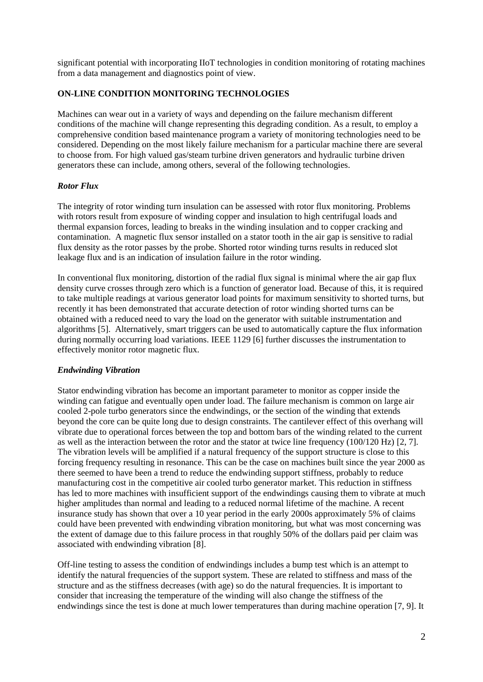significant potential with incorporating IIoT technologies in condition monitoring of rotating machines from a data management and diagnostics point of view.

## **ON-LINE CONDITION MONITORING TECHNOLOGIES**

Machines can wear out in a variety of ways and depending on the failure mechanism different conditions of the machine will change representing this degrading condition. As a result, to employ a comprehensive condition based maintenance program a variety of monitoring technologies need to be considered. Depending on the most likely failure mechanism for a particular machine there are several to choose from. For high valued gas/steam turbine driven generators and hydraulic turbine driven generators these can include, among others, several of the following technologies.

### *Rotor Flux*

The integrity of rotor winding turn insulation can be assessed with rotor flux monitoring. Problems with rotors result from exposure of winding copper and insulation to high centrifugal loads and thermal expansion forces, leading to breaks in the winding insulation and to copper cracking and contamination. A magnetic flux sensor installed on a stator tooth in the air gap is sensitive to radial flux density as the rotor passes by the probe. Shorted rotor winding turns results in reduced slot leakage flux and is an indication of insulation failure in the rotor winding.

In conventional flux monitoring, distortion of the radial flux signal is minimal where the air gap flux density curve crosses through zero which is a function of generator load. Because of this, it is required to take multiple readings at various generator load points for maximum sensitivity to shorted turns, but recently it has been demonstrated that accurate detection of rotor winding shorted turns can be obtained with a reduced need to vary the load on the generator with suitable instrumentation and algorithms [5]. Alternatively, smart triggers can be used to automatically capture the flux information during normally occurring load variations. IEEE 1129 [6] further discusses the instrumentation to effectively monitor rotor magnetic flux.

# *Endwinding Vibration*

Stator endwinding vibration has become an important parameter to monitor as copper inside the winding can fatigue and eventually open under load. The failure mechanism is common on large air cooled 2-pole turbo generators since the endwindings, or the section of the winding that extends beyond the core can be quite long due to design constraints. The cantilever effect of this overhang will vibrate due to operational forces between the top and bottom bars of the winding related to the current as well as the interaction between the rotor and the stator at twice line frequency (100/120 Hz) [2, 7]. The vibration levels will be amplified if a natural frequency of the support structure is close to this forcing frequency resulting in resonance. This can be the case on machines built since the year 2000 as there seemed to have been a trend to reduce the endwinding support stiffness, probably to reduce manufacturing cost in the competitive air cooled turbo generator market. This reduction in stiffness has led to more machines with insufficient support of the endwindings causing them to vibrate at much higher amplitudes than normal and leading to a reduced normal lifetime of the machine. A recent insurance study has shown that over a 10 year period in the early 2000s approximately 5% of claims could have been prevented with endwinding vibration monitoring, but what was most concerning was the extent of damage due to this failure process in that roughly 50% of the dollars paid per claim was associated with endwinding vibration [8].

Off-line testing to assess the condition of endwindings includes a bump test which is an attempt to identify the natural frequencies of the support system. These are related to stiffness and mass of the structure and as the stiffness decreases (with age) so do the natural frequencies. It is important to consider that increasing the temperature of the winding will also change the stiffness of the endwindings since the test is done at much lower temperatures than during machine operation [7, 9]. It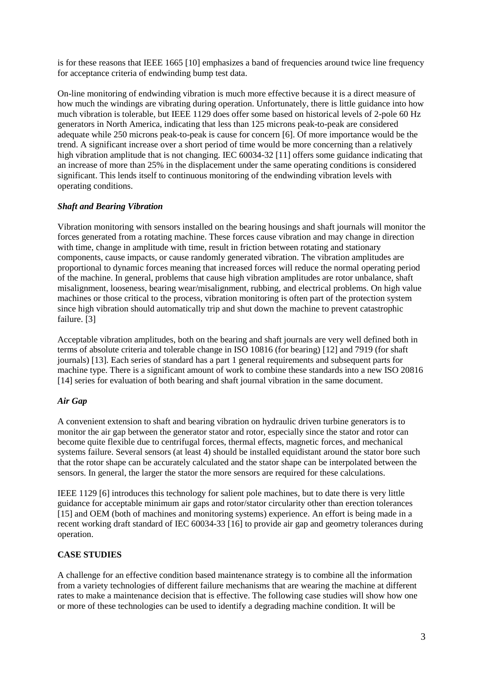is for these reasons that IEEE 1665 [10] emphasizes a band of frequencies around twice line frequency for acceptance criteria of endwinding bump test data.

On-line monitoring of endwinding vibration is much more effective because it is a direct measure of how much the windings are vibrating during operation. Unfortunately, there is little guidance into how much vibration is tolerable, but IEEE 1129 does offer some based on historical levels of 2-pole 60 Hz generators in North America, indicating that less than 125 microns peak-to-peak are considered adequate while 250 microns peak-to-peak is cause for concern [6]. Of more importance would be the trend. A significant increase over a short period of time would be more concerning than a relatively high vibration amplitude that is not changing. IEC 60034-32 [11] offers some guidance indicating that an increase of more than 25% in the displacement under the same operating conditions is considered significant. This lends itself to continuous monitoring of the endwinding vibration levels with operating conditions.

### *Shaft and Bearing Vibration*

Vibration monitoring with sensors installed on the bearing housings and shaft journals will monitor the forces generated from a rotating machine. These forces cause vibration and may change in direction with time, change in amplitude with time, result in friction between rotating and stationary components, cause impacts, or cause randomly generated vibration. The vibration amplitudes are proportional to dynamic forces meaning that increased forces will reduce the normal operating period of the machine. In general, problems that cause high vibration amplitudes are rotor unbalance, shaft misalignment, looseness, bearing wear/misalignment, rubbing, and electrical problems. On high value machines or those critical to the process, vibration monitoring is often part of the protection system since high vibration should automatically trip and shut down the machine to prevent catastrophic failure. [3]

Acceptable vibration amplitudes, both on the bearing and shaft journals are very well defined both in terms of absolute criteria and tolerable change in ISO 10816 (for bearing) [12] and 7919 (for shaft journals) [13]. Each series of standard has a part 1 general requirements and subsequent parts for machine type. There is a significant amount of work to combine these standards into a new ISO 20816 [14] series for evaluation of both bearing and shaft journal vibration in the same document.

#### *Air Gap*

A convenient extension to shaft and bearing vibration on hydraulic driven turbine generators is to monitor the air gap between the generator stator and rotor, especially since the stator and rotor can become quite flexible due to centrifugal forces, thermal effects, magnetic forces, and mechanical systems failure. Several sensors (at least 4) should be installed equidistant around the stator bore such that the rotor shape can be accurately calculated and the stator shape can be interpolated between the sensors. In general, the larger the stator the more sensors are required for these calculations.

IEEE 1129 [6] introduces this technology for salient pole machines, but to date there is very little guidance for acceptable minimum air gaps and rotor/stator circularity other than erection tolerances [15] and OEM (both of machines and monitoring systems) experience. An effort is being made in a recent working draft standard of IEC 60034-33 [16] to provide air gap and geometry tolerances during operation.

### **CASE STUDIES**

A challenge for an effective condition based maintenance strategy is to combine all the information from a variety technologies of different failure mechanisms that are wearing the machine at different rates to make a maintenance decision that is effective. The following case studies will show how one or more of these technologies can be used to identify a degrading machine condition. It will be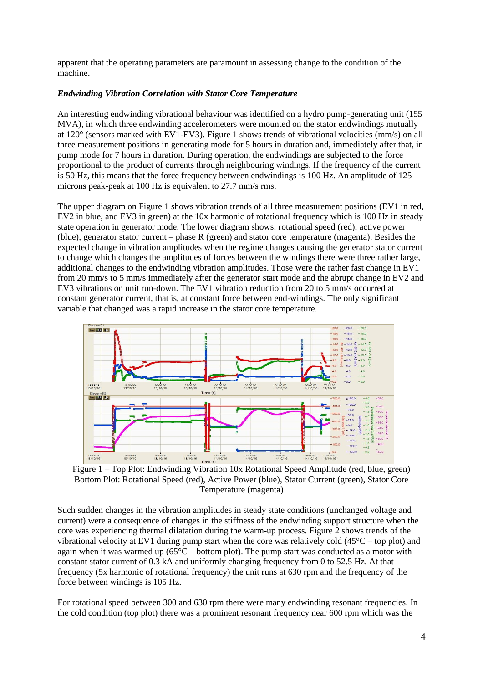apparent that the operating parameters are paramount in assessing change to the condition of the machine.

#### *Endwinding Vibration Correlation with Stator Core Temperature*

An interesting endwinding vibrational behaviour was identified on a hydro pump-generating unit (155 MVA), in which three endwinding accelerometers were mounted on the stator endwindings mutually at 120° (sensors marked with EV1-EV3). Figure 1 shows trends of vibrational velocities (mm/s) on all three measurement positions in generating mode for 5 hours in duration and, immediately after that, in pump mode for 7 hours in duration. During operation, the endwindings are subjected to the force proportional to the product of currents through neighbouring windings. If the frequency of the current is 50 Hz, this means that the force frequency between endwindings is 100 Hz. An amplitude of 125 microns peak-peak at 100 Hz is equivalent to 27.7 mm/s rms.

The upper diagram on Figure 1 shows vibration trends of all three measurement positions (EV1 in red, EV2 in blue, and EV3 in green) at the 10x harmonic of rotational frequency which is 100 Hz in steady state operation in generator mode. The lower diagram shows: rotational speed (red), active power (blue), generator stator current – phase R (green) and stator core temperature (magenta). Besides the expected change in vibration amplitudes when the regime changes causing the generator stator current to change which changes the amplitudes of forces between the windings there were three rather large, additional changes to the endwinding vibration amplitudes. Those were the rather fast change in EV1 from 20 mm/s to 5 mm/s immediately after the generator start mode and the abrupt change in EV2 and EV3 vibrations on unit run-down. The EV1 vibration reduction from 20 to 5 mm/s occurred at constant generator current, that is, at constant force between end-windings. The only significant variable that changed was a rapid increase in the stator core temperature.



Bottom Plot: Rotational Speed (red), Active Power (blue), Stator Current (green), Stator Core Temperature (magenta)

Such sudden changes in the vibration amplitudes in steady state conditions (unchanged voltage and current) were a consequence of changes in the stiffness of the endwinding support structure when the core was experiencing thermal dilatation during the warm-up process. Figure 2 shows trends of the vibrational velocity at EV1 during pump start when the core was relatively cold  $(45^{\circ}C -$  top plot) and again when it was warmed up ( $65^{\circ}$ C – bottom plot). The pump start was conducted as a motor with constant stator current of 0.3 kA and uniformly changing frequency from 0 to 52.5 Hz. At that frequency (5x harmonic of rotational frequency) the unit runs at 630 rpm and the frequency of the force between windings is 105 Hz.

For rotational speed between 300 and 630 rpm there were many endwinding resonant frequencies. In the cold condition (top plot) there was a prominent resonant frequency near 600 rpm which was the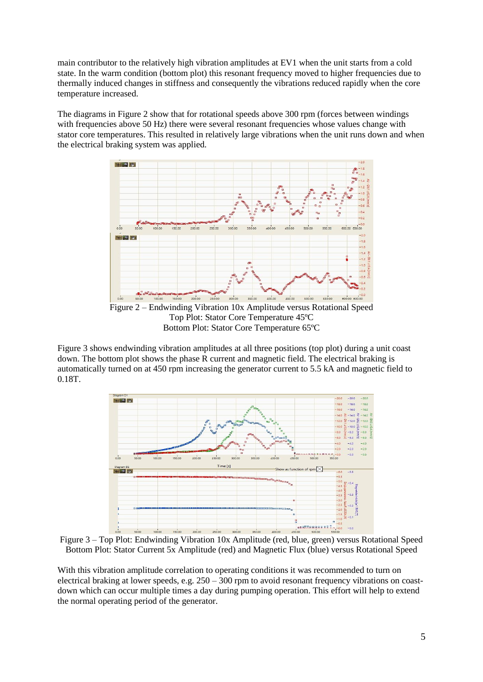main contributor to the relatively high vibration amplitudes at EV1 when the unit starts from a cold state. In the warm condition (bottom plot) this resonant frequency moved to higher frequencies due to thermally induced changes in stiffness and consequently the vibrations reduced rapidly when the core temperature increased.

The diagrams in Figure 2 show that for rotational speeds above 300 rpm (forces between windings with frequencies above 50 Hz) there were several resonant frequencies whose values change with stator core temperatures. This resulted in relatively large vibrations when the unit runs down and when the electrical braking system was applied.



Figure 3 shows endwinding vibration amplitudes at all three positions (top plot) during a unit coast down. The bottom plot shows the phase R current and magnetic field. The electrical braking is automatically turned on at 450 rpm increasing the generator current to 5.5 kA and magnetic field to 0.18T.



Figure 3 – Top Plot: Endwinding Vibration 10x Amplitude (red, blue, green) versus Rotational Speed Bottom Plot: Stator Current 5x Amplitude (red) and Magnetic Flux (blue) versus Rotational Speed

With this vibration amplitude correlation to operating conditions it was recommended to turn on electrical braking at lower speeds, e.g. 250 – 300 rpm to avoid resonant frequency vibrations on coastdown which can occur multiple times a day during pumping operation. This effort will help to extend the normal operating period of the generator.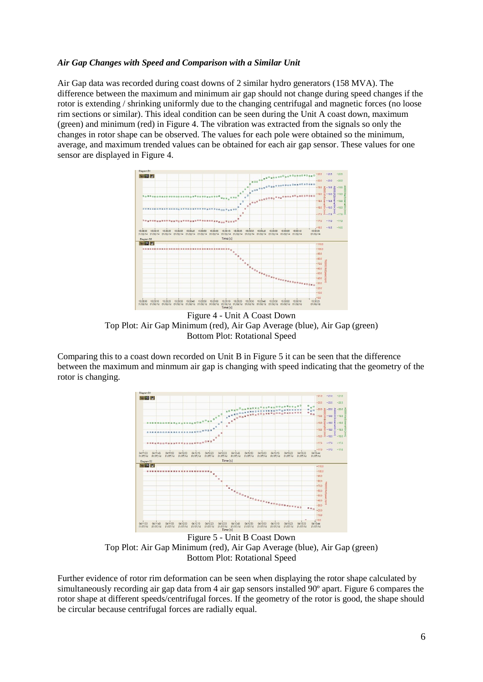### *Air Gap Changes with Speed and Comparison with a Similar Unit*

Air Gap data was recorded during coast downs of 2 similar hydro generators (158 MVA). The difference between the maximum and minimum air gap should not change during speed changes if the rotor is extending / shrinking uniformly due to the changing centrifugal and magnetic forces (no loose rim sections or similar). This ideal condition can be seen during the Unit A coast down, maximum (green) and minimum (red) in Figure 4. The vibration was extracted from the signals so only the changes in rotor shape can be observed. The values for each pole were obtained so the minimum, average, and maximum trended values can be obtained for each air gap sensor. These values for one sensor are displayed in Figure 4.



Figure 4 - Unit A Coast Down Top Plot: Air Gap Minimum (red), Air Gap Average (blue), Air Gap (green) Bottom Plot: Rotational Speed

Comparing this to a coast down recorded on Unit B in Figure 5 it can be seen that the difference between the maximum and minmum air gap is changing with speed indicating that the geometry of the rotor is changing.



Figure 5 - Unit B Coast Down Top Plot: Air Gap Minimum (red), Air Gap Average (blue), Air Gap (green) Bottom Plot: Rotational Speed

Further evidence of rotor rim deformation can be seen when displaying the rotor shape calculated by simultaneously recording air gap data from 4 air gap sensors installed 90º apart. Figure 6 compares the rotor shape at different speeds/centrifugal forces. If the geometry of the rotor is good, the shape should be circular because centrifugal forces are radially equal.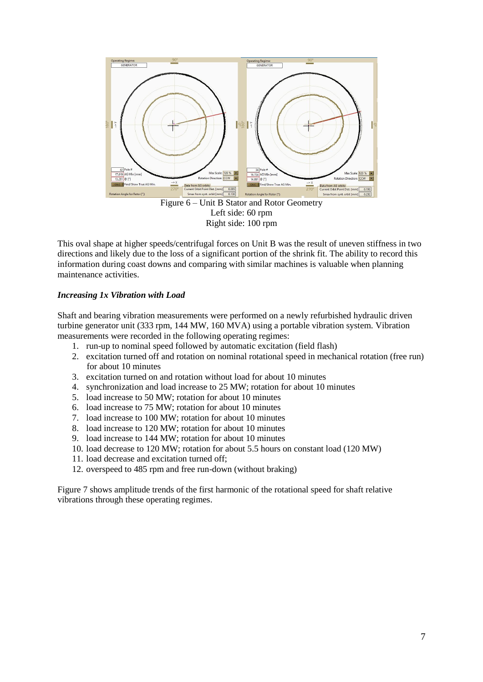

Left side: 60 rpm Right side: 100 rpm

This oval shape at higher speeds/centrifugal forces on Unit B was the result of uneven stiffness in two directions and likely due to the loss of a significant portion of the shrink fit. The ability to record this information during coast downs and comparing with similar machines is valuable when planning maintenance activities.

### *Increasing 1x Vibration with Load*

Shaft and bearing vibration measurements were performed on a newly refurbished hydraulic driven turbine generator unit (333 rpm, 144 MW, 160 MVA) using a portable vibration system. Vibration measurements were recorded in the following operating regimes:

- 1. run-up to nominal speed followed by automatic excitation (field flash)
- 2. excitation turned off and rotation on nominal rotational speed in mechanical rotation (free run) for about 10 minutes
- 3. excitation turned on and rotation without load for about 10 minutes
- 4. synchronization and load increase to 25 MW; rotation for about 10 minutes
- 5. load increase to 50 MW; rotation for about 10 minutes
- 6. load increase to 75 MW; rotation for about 10 minutes
- 7. load increase to 100 MW; rotation for about 10 minutes
- 8. load increase to 120 MW; rotation for about 10 minutes
- 9. load increase to 144 MW; rotation for about 10 minutes
- 10. load decrease to 120 MW; rotation for about 5.5 hours on constant load (120 MW)
- 11. load decrease and excitation turned off;
- 12. overspeed to 485 rpm and free run-down (without braking)

Figure 7 shows amplitude trends of the first harmonic of the rotational speed for shaft relative vibrations through these operating regimes.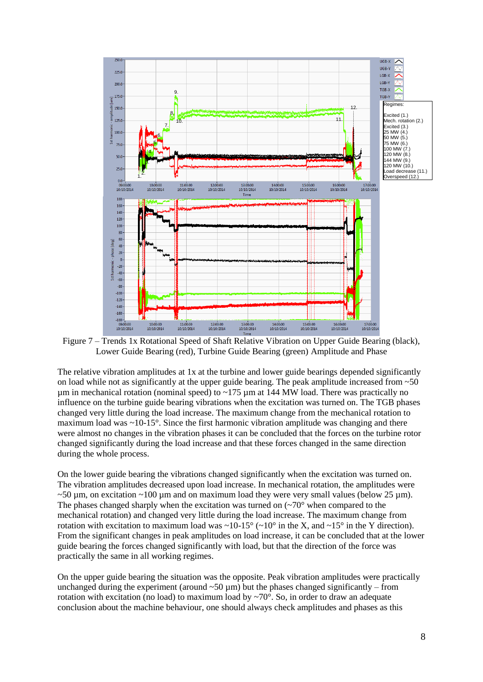

Figure 7 – Trends 1x Rotational Speed of Shaft Relative Vibration on Upper Guide Bearing (black), Lower Guide Bearing (red), Turbine Guide Bearing (green) Amplitude and Phase

The relative vibration amplitudes at 1x at the turbine and lower guide bearings depended significantly on load while not as significantly at the upper guide bearing. The peak amplitude increased from  $\sim 50$  $\mu$ m in mechanical rotation (nominal speed) to ~175  $\mu$ m at 144 MW load. There was practically no influence on the turbine guide bearing vibrations when the excitation was turned on. The TGB phases changed very little during the load increase. The maximum change from the mechanical rotation to maximum load was  $\sim 10^{-15}$ °. Since the first harmonic vibration amplitude was changing and there were almost no changes in the vibration phases it can be concluded that the forces on the turbine rotor changed significantly during the load increase and that these forces changed in the same direction during the whole process.

On the lower guide bearing the vibrations changed significantly when the excitation was turned on. The vibration amplitudes decreased upon load increase. In mechanical rotation, the amplitudes were  $\sim$ 50 µm, on excitation  $\sim$ 100 µm and on maximum load they were very small values (below 25 µm). The phases changed sharply when the excitation was turned on  $(\sim 70^{\circ}$  when compared to the mechanical rotation) and changed very little during the load increase. The maximum change from rotation with excitation to maximum load was  $\sim 10{\text -}15^{\circ}$  ( $\sim 10^{\circ}$  in the X, and  $\sim 15^{\circ}$  in the Y direction). From the significant changes in peak amplitudes on load increase, it can be concluded that at the lower guide bearing the forces changed significantly with load, but that the direction of the force was practically the same in all working regimes.

On the upper guide bearing the situation was the opposite. Peak vibration amplitudes were practically unchanged during the experiment (around  $\sim 50 \mu m$ ) but the phases changed significantly – from rotation with excitation (no load) to maximum load by  $\sim$ 70 $^{\circ}$ . So, in order to draw an adequate conclusion about the machine behaviour, one should always check amplitudes and phases as this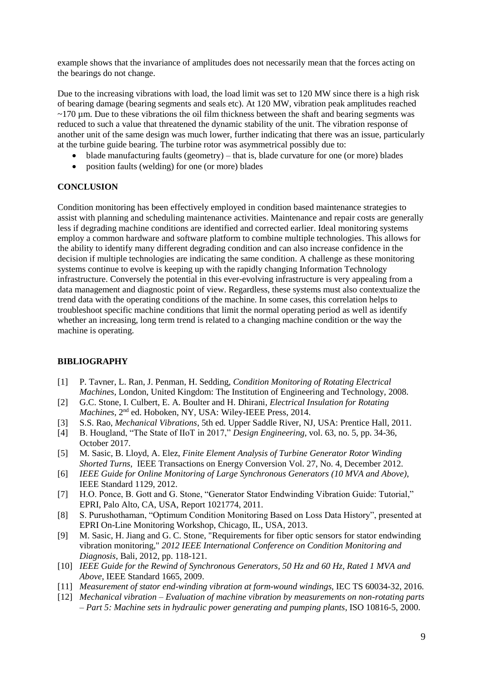example shows that the invariance of amplitudes does not necessarily mean that the forces acting on the bearings do not change.

Due to the increasing vibrations with load, the load limit was set to 120 MW since there is a high risk of bearing damage (bearing segments and seals etc). At 120 MW, vibration peak amplitudes reached  $\sim$ 170 µm. Due to these vibrations the oil film thickness between the shaft and bearing segments was reduced to such a value that threatened the dynamic stability of the unit. The vibration response of another unit of the same design was much lower, further indicating that there was an issue, particularly at the turbine guide bearing. The turbine rotor was asymmetrical possibly due to:

- blade manufacturing faults (geometry) that is, blade curvature for one (or more) blades
- position faults (welding) for one (or more) blades

#### **CONCLUSION**

Condition monitoring has been effectively employed in condition based maintenance strategies to assist with planning and scheduling maintenance activities. Maintenance and repair costs are generally less if degrading machine conditions are identified and corrected earlier. Ideal monitoring systems employ a common hardware and software platform to combine multiple technologies. This allows for the ability to identify many different degrading condition and can also increase confidence in the decision if multiple technologies are indicating the same condition. A challenge as these monitoring systems continue to evolve is keeping up with the rapidly changing Information Technology infrastructure. Conversely the potential in this ever-evolving infrastructure is very appealing from a data management and diagnostic point of view. Regardless, these systems must also contextualize the trend data with the operating conditions of the machine. In some cases, this correlation helps to troubleshoot specific machine conditions that limit the normal operating period as well as identify whether an increasing, long term trend is related to a changing machine condition or the way the machine is operating.

#### **BIBLIOGRAPHY**

- [1] P. Tavner, L. Ran, J. Penman, H. Sedding, *Condition Monitoring of Rotating Electrical Machines*, London, United Kingdom: The Institution of Engineering and Technology, 2008.
- [2] G.C. Stone, I. Culbert, E. A. Boulter and H. Dhirani, *Electrical Insulation for Rotating Machines*, 2nd ed. Hoboken, NY, USA: Wiley-IEEE Press, 2014.
- [3] S.S. Rao, *Mechanical Vibrations*, 5th ed. Upper Saddle River, NJ, USA: Prentice Hall, 2011.
- [4] B. Hougland, "The State of IIoT in 2017," *Design Engineering*, vol. 63, no. 5, pp. 34-36, October 2017.
- [5] M. Sasic, B. Lloyd, A. Elez, *Finite Element Analysis of Turbine Generator Rotor Winding Shorted Turns*, IEEE Transactions on Energy Conversion Vol. 27, No. 4, December 2012.
- [6] *IEEE Guide for Online Monitoring of Large Synchronous Generators (10 MVA and Above)*, IEEE Standard 1129, 2012.
- [7] H.O. Ponce, B. Gott and G. Stone, "Generator Stator Endwinding Vibration Guide: Tutorial," EPRI, Palo Alto, CA, USA, Report 1021774, 2011.
- [8] S. Purushothaman, "Optimum Condition Monitoring Based on Loss Data History", presented at EPRI On-Line Monitoring Workshop, Chicago, IL, USA, 2013.
- [9] M. Sasic, H. Jiang and G. C. Stone, "Requirements for fiber optic sensors for stator endwinding vibration monitoring," *2012 IEEE International Conference on Condition Monitoring and Diagnosis*, Bali, 2012, pp. 118-121.
- [10] *IEEE Guide for the Rewind of Synchronous Generators, 50 Hz and 60 Hz, Rated 1 MVA and Above*, IEEE Standard 1665, 2009.
- [11] *Measurement of stator end-winding vibration at form-wound windings, IEC TS 60034-32, 2016.*
- [12] *Mechanical vibration – Evaluation of machine vibration by measurements on non-rotating parts – Part 5: Machine sets in hydraulic power generating and pumping plants*, ISO 10816-5, 2000.